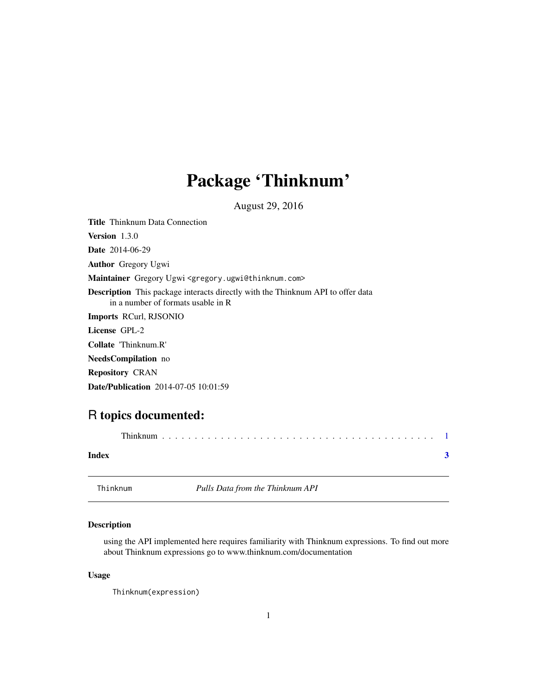## <span id="page-0-0"></span>Package 'Thinknum'

August 29, 2016

Title Thinknum Data Connection Version 1.3.0 Date 2014-06-29 Author Gregory Ugwi Maintainer Gregory Ugwi <gregory.ugwi@thinknum.com> Description This package interacts directly with the Thinknum API to offer data in a number of formats usable in R Imports RCurl, RJSONIO License GPL-2 Collate 'Thinknum.R' NeedsCompilation no Repository CRAN Date/Publication 2014-07-05 10:01:59

### R topics documented:

| Index    |  |  |                                  |  |  |  |  |  |  |  |  |  |  |  |
|----------|--|--|----------------------------------|--|--|--|--|--|--|--|--|--|--|--|
| Thinknum |  |  | Pulls Data from the Thinknum API |  |  |  |  |  |  |  |  |  |  |  |

#### Description

using the API implemented here requires familiarity with Thinknum expressions. To find out more about Thinknum expressions go to www.thinknum.com/documentation

#### Usage

```
Thinknum(expression)
```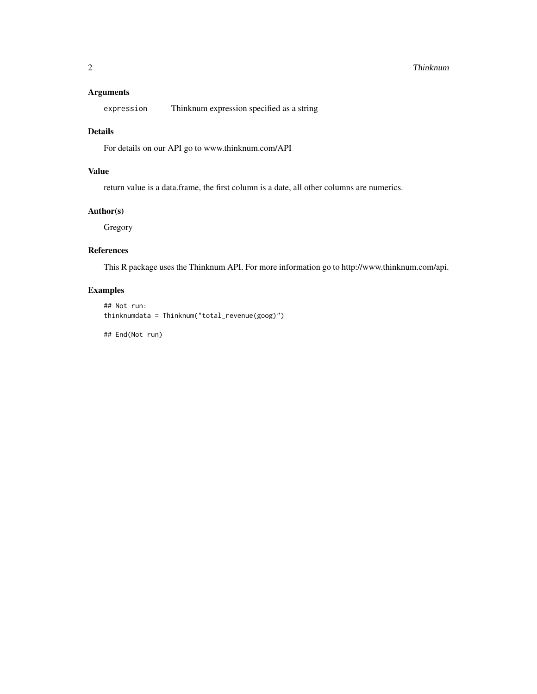#### 2 a compared to the contract of the contract of the contract of the contract of the contract of the contract of the contract of the contract of the contract of the contract of the contract of the contract of the contract o

#### Arguments

expression Thinknum expression specified as a string

#### Details

For details on our API go to www.thinknum.com/API

#### Value

return value is a data.frame, the first column is a date, all other columns are numerics.

#### Author(s)

Gregory

#### References

This R package uses the Thinknum API. For more information go to http://www.thinknum.com/api.

#### Examples

```
## Not run:
thinknumdata = Thinknum("total_revenue(goog)")
```
## End(Not run)